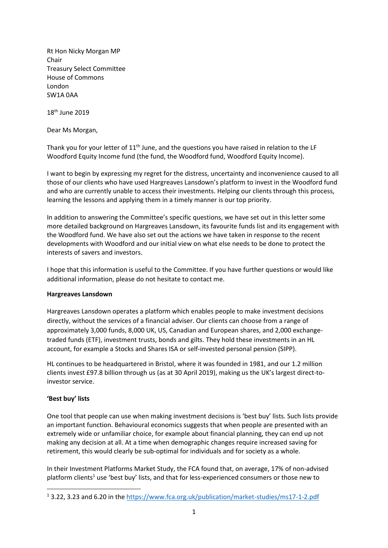Rt Hon Nicky Morgan MP Chair Treasury Select Committee House of Commons London SW1A 0AA

18th June 2019

Dear Ms Morgan,

Thank you for your letter of  $11<sup>th</sup>$  June, and the questions you have raised in relation to the LF Woodford Equity Income fund (the fund, the Woodford fund, Woodford Equity Income).

I want to begin by expressing my regret for the distress, uncertainty and inconvenience caused to all those of our clients who have used Hargreaves Lansdown's platform to invest in the Woodford fund and who are currently unable to access their investments. Helping our clients through this process, learning the lessons and applying them in a timely manner is our top priority.

In addition to answering the Committee's specific questions, we have set out in this letter some more detailed background on Hargreaves Lansdown, its favourite funds list and its engagement with the Woodford fund. We have also set out the actions we have taken in response to the recent developments with Woodford and our initial view on what else needs to be done to protect the interests of savers and investors.

I hope that this information is useful to the Committee. If you have further questions or would like additional information, please do not hesitate to contact me.

#### **Hargreaves Lansdown**

Hargreaves Lansdown operates a platform which enables people to make investment decisions directly, without the services of a financial adviser. Our clients can choose from a range of approximately 3,000 funds, 8,000 UK, US, Canadian and European shares, and 2,000 exchangetraded funds (ETF), investment trusts, bonds and gilts. They hold these investments in an HL account, for example a Stocks and Shares ISA or self-invested personal pension (SIPP).

HL continues to be headquartered in Bristol, where it was founded in 1981, and our 1.2 million clients invest £97.8 billion through us (as at 30 April 2019), making us the UK's largest direct-toinvestor service.

# **'Best buy' lists**

**.** 

One tool that people can use when making investment decisions is 'best buy' lists. Such lists provide an important function. Behavioural economics suggests that when people are presented with an extremely wide or unfamiliar choice, for example about financial planning, they can end up not making any decision at all. At a time when demographic changes require increased saving for retirement, this would clearly be sub-optimal for individuals and for society as a whole.

In their Investment Platforms Market Study, the FCA found that, on average, 17% of non-advised platform clients<sup>1</sup> use 'best buy' lists, and that for less-experienced consumers or those new to

<sup>1</sup> 3.22, 3.23 and 6.20 in the<https://www.fca.org.uk/publication/market-studies/ms17-1-2.pdf>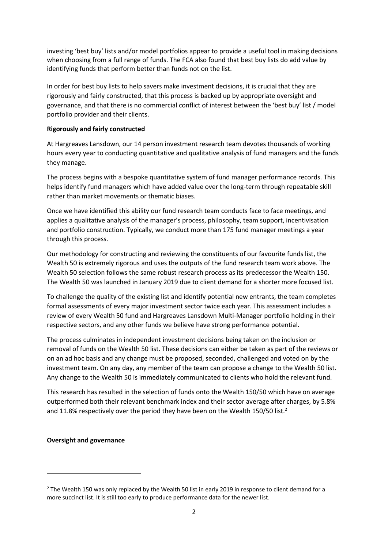investing 'best buy' lists and/or model portfolios appear to provide a useful tool in making decisions when choosing from a full range of funds. The FCA also found that best buy lists do add value by identifying funds that perform better than funds not on the list.

In order for best buy lists to help savers make investment decisions, it is crucial that they are rigorously and fairly constructed, that this process is backed up by appropriate oversight and governance, and that there is no commercial conflict of interest between the 'best buy' list / model portfolio provider and their clients.

### **Rigorously and fairly constructed**

At Hargreaves Lansdown, our 14 person investment research team devotes thousands of working hours every year to conducting quantitative and qualitative analysis of fund managers and the funds they manage.

The process begins with a bespoke quantitative system of fund manager performance records. This helps identify fund managers which have added value over the long-term through repeatable skill rather than market movements or thematic biases.

Once we have identified this ability our fund research team conducts face to face meetings, and applies a qualitative analysis of the manager's process, philosophy, team support, incentivisation and portfolio construction. Typically, we conduct more than 175 fund manager meetings a year through this process.

Our methodology for constructing and reviewing the constituents of our favourite funds list, the Wealth 50 is extremely rigorous and uses the outputs of the fund research team work above. The Wealth 50 selection follows the same robust research process as its predecessor the Wealth 150. The Wealth 50 was launched in January 2019 due to client demand for a shorter more focused list.

To challenge the quality of the existing list and identify potential new entrants, the team completes formal assessments of every major investment sector twice each year. This assessment includes a review of every Wealth 50 fund and Hargreaves Lansdown Multi-Manager portfolio holding in their respective sectors, and any other funds we believe have strong performance potential.

The process culminates in independent investment decisions being taken on the inclusion or removal of funds on the Wealth 50 list. These decisions can either be taken as part of the reviews or on an ad hoc basis and any change must be proposed, seconded, challenged and voted on by the investment team. On any day, any member of the team can propose a change to the Wealth 50 list. Any change to the Wealth 50 is immediately communicated to clients who hold the relevant fund.

This research has resulted in the selection of funds onto the Wealth 150/50 which have on average outperformed both their relevant benchmark index and their sector average after charges, by 5.8% and 11.8% respectively over the period they have been on the Wealth 150/50 list.<sup>2</sup>

# **Oversight and governance**

**.** 

 $2$  The Wealth 150 was only replaced by the Wealth 50 list in early 2019 in response to client demand for a more succinct list. It is still too early to produce performance data for the newer list.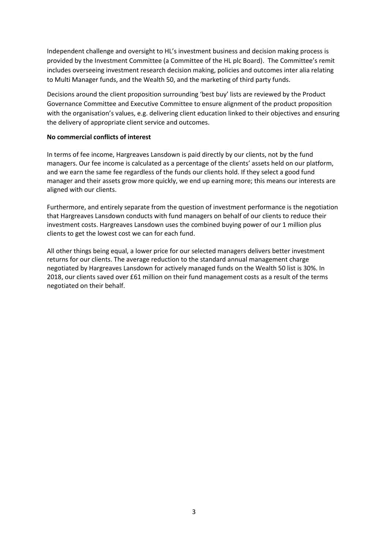Independent challenge and oversight to HL's investment business and decision making process is provided by the Investment Committee (a Committee of the HL plc Board). The Committee's remit includes overseeing investment research decision making, policies and outcomes inter alia relating to Multi Manager funds, and the Wealth 50, and the marketing of third party funds.

Decisions around the client proposition surrounding 'best buy' lists are reviewed by the Product Governance Committee and Executive Committee to ensure alignment of the product proposition with the organisation's values, e.g. delivering client education linked to their objectives and ensuring the delivery of appropriate client service and outcomes.

#### **No commercial conflicts of interest**

In terms of fee income, Hargreaves Lansdown is paid directly by our clients, not by the fund managers. Our fee income is calculated as a percentage of the clients' assets held on our platform, and we earn the same fee regardless of the funds our clients hold. If they select a good fund manager and their assets grow more quickly, we end up earning more; this means our interests are aligned with our clients.

Furthermore, and entirely separate from the question of investment performance is the negotiation that Hargreaves Lansdown conducts with fund managers on behalf of our clients to reduce their investment costs. Hargreaves Lansdown uses the combined buying power of our 1 million plus clients to get the lowest cost we can for each fund.

All other things being equal, a lower price for our selected managers delivers better investment returns for our clients. The average reduction to the standard annual management charge negotiated by Hargreaves Lansdown for actively managed funds on the Wealth 50 list is 30%. In 2018, our clients saved over £61 million on their fund management costs as a result of the terms negotiated on their behalf.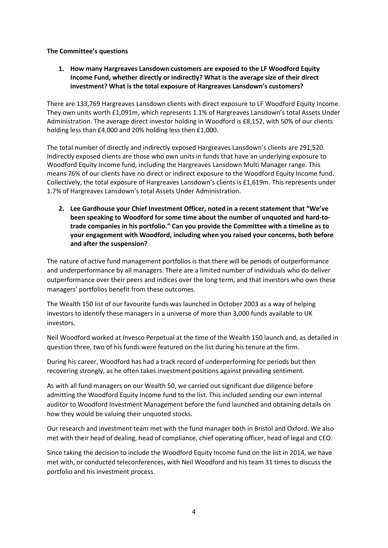### **The Committee's questions**

**1. How many Hargreaves Lansdown customers are exposed to the LF Woodford Equity Income Fund, whether directly or indirectly? What is the average size of their direct investment? What is the total exposure of Hargreaves Lansdown's customers?**

There are 133,769 Hargreaves Lansdown clients with direct exposure to LF Woodford Equity Income. They own units worth £1,091m, which represents 1.1% of Hargreaves Lansdown's total Assets Under Administration. The average direct investor holding in Woodford is £8,152, with 50% of our clients holding less than £4,000 and 20% holding less then £1,000.

The total number of directly and indirectly exposed Hargreaves Lansdown's clients are 291,520. Indirectly exposed clients are those who own units in funds that have an underlying exposure to Woodford Equity Income fund, including the Hargreaves Lansdown Multi Manager range. This means 76% of our clients have no direct or indirect exposure to the Woodford Equity Income fund. Collectively, the total exposure of Hargreaves Lansdown's clients is £1,619m. This represents under 1.7% of Hargreaves Lansdown's total Assets Under Administration.

**2. Lee Gardhouse your Chief Investment Officer, noted in a recent statement that "We've been speaking to Woodford for some time about the number of unquoted and hard-totrade companies in his portfolio." Can you provide the Committee with a timeline as to your engagement with Woodford, including when you raised your concerns, both before and after the suspension?**

The nature of active fund management portfolios is that there will be periods of outperformance and underperformance by all managers. There are a limited number of individuals who do deliver outperformance over their peers and indices over the long term, and that investors who own these managers' portfolios benefit from these outcomes.

The Wealth 150 list of our favourite funds was launched in October 2003 as a way of helping investors to identify these managers in a universe of more than 3,000 funds available to UK investors.

Neil Woodford worked at Invesco Perpetual at the time of the Wealth 150 launch and, as detailed in question three, two of his funds were featured on the list during his tenure at the firm.

During his career, Woodford has had a track record of underperforming for periods but then recovering strongly, as he often takes investment positions against prevailing sentiment.

As with all fund managers on our Wealth 50, we carried out significant due diligence before admitting the Woodford Equity Income fund to the list. This included sending our own internal auditor to Woodford Investment Management before the fund launched and obtaining details on how they would be valuing their unquoted stocks.

Our research and investment team met with the fund manager both in Bristol and Oxford. We also met with their head of dealing, head of compliance, chief operating officer, head of legal and CEO.

Since taking the decision to include the Woodford Equity Income fund on the list in 2014, we have met with, or conducted teleconferences, with Neil Woodford and his team 31 times to discuss the portfolio and his investment process.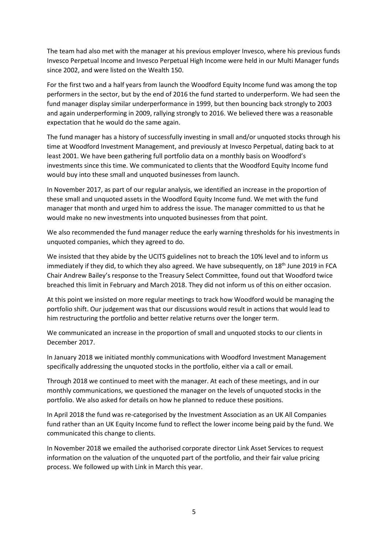The team had also met with the manager at his previous employer Invesco, where his previous funds Invesco Perpetual Income and Invesco Perpetual High Income were held in our Multi Manager funds since 2002, and were listed on the Wealth 150.

For the first two and a half years from launch the Woodford Equity Income fund was among the top performers in the sector, but by the end of 2016 the fund started to underperform. We had seen the fund manager display similar underperformance in 1999, but then bouncing back strongly to 2003 and again underperforming in 2009, rallying strongly to 2016. We believed there was a reasonable expectation that he would do the same again.

The fund manager has a history of successfully investing in small and/or unquoted stocks through his time at Woodford Investment Management, and previously at Invesco Perpetual, dating back to at least 2001. We have been gathering full portfolio data on a monthly basis on Woodford's investments since this time. We communicated to clients that the Woodford Equity Income fund would buy into these small and unquoted businesses from launch.

In November 2017, as part of our regular analysis, we identified an increase in the proportion of these small and unquoted assets in the Woodford Equity Income fund. We met with the fund manager that month and urged him to address the issue. The manager committed to us that he would make no new investments into unquoted businesses from that point.

We also recommended the fund manager reduce the early warning thresholds for his investments in unquoted companies, which they agreed to do.

We insisted that they abide by the UCITS guidelines not to breach the 10% level and to inform us immediately if they did, to which they also agreed. We have subsequently, on  $18<sup>th</sup>$  June 2019 in FCA Chair Andrew Bailey's response to the Treasury Select Committee, found out that Woodford twice breached this limit in February and March 2018. They did not inform us of this on either occasion.

At this point we insisted on more regular meetings to track how Woodford would be managing the portfolio shift. Our judgement was that our discussions would result in actions that would lead to him restructuring the portfolio and better relative returns over the longer term.

We communicated an increase in the proportion of small and unquoted stocks to our clients in December 2017.

In January 2018 we initiated monthly communications with Woodford Investment Management specifically addressing the unquoted stocks in the portfolio, either via a call or email.

Through 2018 we continued to meet with the manager. At each of these meetings, and in our monthly communications, we questioned the manager on the levels of unquoted stocks in the portfolio. We also asked for details on how he planned to reduce these positions.

In April 2018 the fund was re-categorised by the Investment Association as an UK All Companies fund rather than an UK Equity Income fund to reflect the lower income being paid by the fund. We communicated this change to clients.

In November 2018 we emailed the authorised corporate director Link Asset Services to request information on the valuation of the unquoted part of the portfolio, and their fair value pricing process. We followed up with Link in March this year.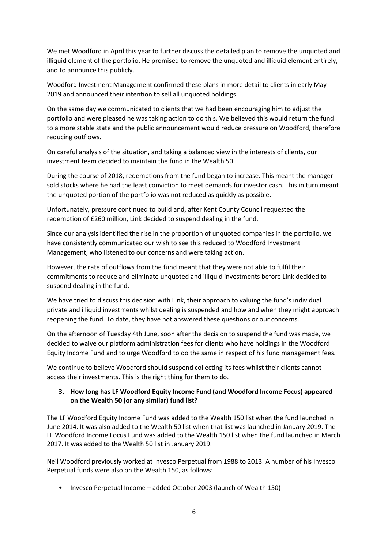We met Woodford in April this year to further discuss the detailed plan to remove the unquoted and illiquid element of the portfolio. He promised to remove the unquoted and illiquid element entirely, and to announce this publicly.

Woodford Investment Management confirmed these plans in more detail to clients in early May 2019 and announced their intention to sell all unquoted holdings.

On the same day we communicated to clients that we had been encouraging him to adjust the portfolio and were pleased he was taking action to do this. We believed this would return the fund to a more stable state and the public announcement would reduce pressure on Woodford, therefore reducing outflows.

On careful analysis of the situation, and taking a balanced view in the interests of clients, our investment team decided to maintain the fund in the Wealth 50.

During the course of 2018, redemptions from the fund began to increase. This meant the manager sold stocks where he had the least conviction to meet demands for investor cash. This in turn meant the unquoted portion of the portfolio was not reduced as quickly as possible.

Unfortunately, pressure continued to build and, after Kent County Council requested the redemption of £260 million, Link decided to suspend dealing in the fund.

Since our analysis identified the rise in the proportion of unquoted companies in the portfolio, we have consistently communicated our wish to see this reduced to Woodford Investment Management, who listened to our concerns and were taking action.

However, the rate of outflows from the fund meant that they were not able to fulfil their commitments to reduce and eliminate unquoted and illiquid investments before Link decided to suspend dealing in the fund.

We have tried to discuss this decision with Link, their approach to valuing the fund's individual private and illiquid investments whilst dealing is suspended and how and when they might approach reopening the fund. To date, they have not answered these questions or our concerns.

On the afternoon of Tuesday 4th June, soon after the decision to suspend the fund was made, we decided to waive our platform administration fees for clients who have holdings in the Woodford Equity Income Fund and to urge Woodford to do the same in respect of his fund management fees.

We continue to believe Woodford should suspend collecting its fees whilst their clients cannot access their investments. This is the right thing for them to do.

# **3. How long has LF Woodford Equity Income Fund (and Woodford Income Focus) appeared on the Wealth 50 (or any similar) fund list?**

The LF Woodford Equity Income Fund was added to the Wealth 150 list when the fund launched in June 2014. It was also added to the Wealth 50 list when that list was launched in January 2019. The LF Woodford Income Focus Fund was added to the Wealth 150 list when the fund launched in March 2017. It was added to the Wealth 50 list in January 2019.

Neil Woodford previously worked at Invesco Perpetual from 1988 to 2013. A number of his Invesco Perpetual funds were also on the Wealth 150, as follows:

• Invesco Perpetual Income – added October 2003 (launch of Wealth 150)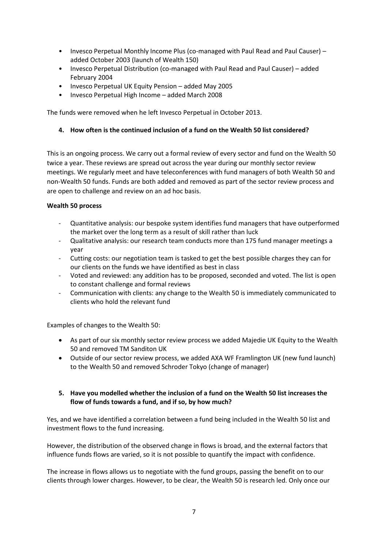- Invesco Perpetual Monthly Income Plus (co-managed with Paul Read and Paul Causer) added October 2003 (launch of Wealth 150)
- Invesco Perpetual Distribution (co-managed with Paul Read and Paul Causer) added February 2004
- Invesco Perpetual UK Equity Pension added May 2005
- Invesco Perpetual High Income added March 2008

The funds were removed when he left Invesco Perpetual in October 2013.

### **4. How often is the continued inclusion of a fund on the Wealth 50 list considered?**

This is an ongoing process. We carry out a formal review of every sector and fund on the Wealth 50 twice a year. These reviews are spread out across the year during our monthly sector review meetings. We regularly meet and have teleconferences with fund managers of both Wealth 50 and non-Wealth 50 funds. Funds are both added and removed as part of the sector review process and are open to challenge and review on an ad hoc basis.

### **Wealth 50 process**

- Quantitative analysis: our bespoke system identifies fund managers that have outperformed the market over the long term as a result of skill rather than luck
- Qualitative analysis: our research team conducts more than 175 fund manager meetings a year
- Cutting costs: our negotiation team is tasked to get the best possible charges they can for our clients on the funds we have identified as best in class
- Voted and reviewed: any addition has to be proposed, seconded and voted. The list is open to constant challenge and formal reviews
- Communication with clients: any change to the Wealth 50 is immediately communicated to clients who hold the relevant fund

Examples of changes to the Wealth 50:

- As part of our six monthly sector review process we added Majedie UK Equity to the Wealth 50 and removed TM Sanditon UK
- Outside of our sector review process, we added AXA WF Framlington UK (new fund launch) to the Wealth 50 and removed Schroder Tokyo (change of manager)

### **5. Have you modelled whether the inclusion of a fund on the Wealth 50 list increases the flow of funds towards a fund, and if so, by how much?**

Yes, and we have identified a correlation between a fund being included in the Wealth 50 list and investment flows to the fund increasing.

However, the distribution of the observed change in flows is broad, and the external factors that influence funds flows are varied, so it is not possible to quantify the impact with confidence.

The increase in flows allows us to negotiate with the fund groups, passing the benefit on to our clients through lower charges. However, to be clear, the Wealth 50 is research led. Only once our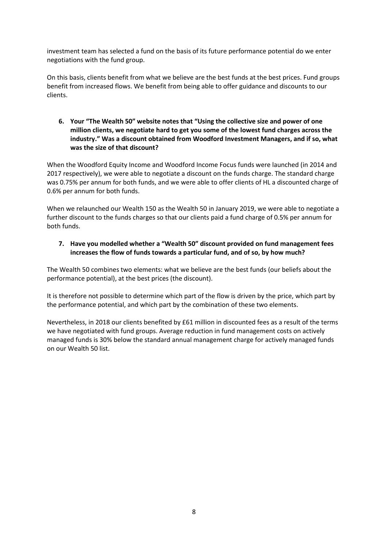investment team has selected a fund on the basis of its future performance potential do we enter negotiations with the fund group.

On this basis, clients benefit from what we believe are the best funds at the best prices. Fund groups benefit from increased flows. We benefit from being able to offer guidance and discounts to our clients.

**6. Your "The Wealth 50" website notes that "Using the collective size and power of one million clients, we negotiate hard to get you some of the lowest fund charges across the industry." Was a discount obtained from Woodford Investment Managers, and if so, what was the size of that discount?**

When the Woodford Equity Income and Woodford Income Focus funds were launched (in 2014 and 2017 respectively), we were able to negotiate a discount on the funds charge. The standard charge was 0.75% per annum for both funds, and we were able to offer clients of HL a discounted charge of 0.6% per annum for both funds.

When we relaunched our Wealth 150 as the Wealth 50 in January 2019, we were able to negotiate a further discount to the funds charges so that our clients paid a fund charge of 0.5% per annum for both funds.

# **7. Have you modelled whether a "Wealth 50" discount provided on fund management fees increases the flow of funds towards a particular fund, and of so, by how much?**

The Wealth 50 combines two elements: what we believe are the best funds (our beliefs about the performance potential), at the best prices (the discount).

It is therefore not possible to determine which part of the flow is driven by the price, which part by the performance potential, and which part by the combination of these two elements.

Nevertheless, in 2018 our clients benefited by £61 million in discounted fees as a result of the terms we have negotiated with fund groups. Average reduction in fund management costs on actively managed funds is 30% below the standard annual management charge for actively managed funds on our Wealth 50 list.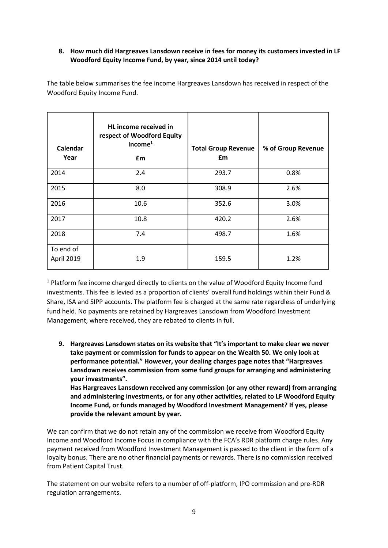# **8. How much did Hargreaves Lansdown receive in fees for money its customers invested in LF Woodford Equity Income Fund, by year, since 2014 until today?**

The table below summarises the fee income Hargreaves Lansdown has received in respect of the Woodford Equity Income Fund.

| Calendar<br>Year        | HL income received in<br>respect of Woodford Equity<br>Income <sup>1</sup><br>£m | <b>Total Group Revenue</b><br>£m | % of Group Revenue |
|-------------------------|----------------------------------------------------------------------------------|----------------------------------|--------------------|
| 2014                    | 2.4                                                                              | 293.7                            | 0.8%               |
| 2015                    | 8.0                                                                              | 308.9                            | 2.6%               |
| 2016                    | 10.6                                                                             | 352.6                            | 3.0%               |
| 2017                    | 10.8                                                                             | 420.2                            | 2.6%               |
| 2018                    | 7.4                                                                              | 498.7                            | 1.6%               |
| To end of<br>April 2019 | 1.9                                                                              | 159.5                            | 1.2%               |

 $1$  Platform fee income charged directly to clients on the value of Woodford Equity Income fund investments. This fee is levied as a proportion of clients' overall fund holdings within their Fund & Share, ISA and SIPP accounts. The platform fee is charged at the same rate regardless of underlying fund held. No payments are retained by Hargreaves Lansdown from Woodford Investment Management, where received, they are rebated to clients in full.

**9. Hargreaves Lansdown states on its website that "It's important to make clear we never take payment or commission for funds to appear on the Wealth 50. We only look at performance potential." However, your dealing charges page notes that "Hargreaves Lansdown receives commission from some fund groups for arranging and administering your investments".**

**Has Hargreaves Lansdown received any commission (or any other reward) from arranging and administering investments, or for any other activities, related to LF Woodford Equity Income Fund, or funds managed by Woodford Investment Management? If yes, please provide the relevant amount by year.**

We can confirm that we do not retain any of the commission we receive from Woodford Equity Income and Woodford Income Focus in compliance with the FCA's RDR platform charge rules. Any payment received from Woodford Investment Management is passed to the client in the form of a loyalty bonus. There are no other financial payments or rewards. There is no commission received from Patient Capital Trust.

The statement on our website refers to a number of off-platform, IPO commission and pre-RDR regulation arrangements.